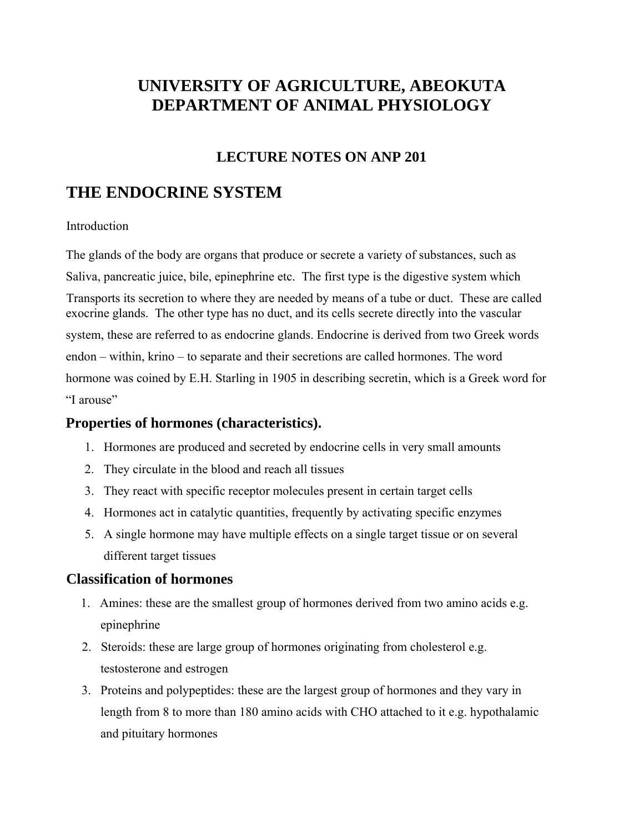# **UNIVERSITY OF AGRICULTURE, ABEOKUTA DEPARTMENT OF ANIMAL PHYSIOLOGY**

### **LECTURE NOTES ON ANP 201**

## **THE ENDOCRINE SYSTEM**

#### Introduction

The glands of the body are organs that produce or secrete a variety of substances, such as Saliva, pancreatic juice, bile, epinephrine etc. The first type is the digestive system which Transports its secretion to where they are needed by means of a tube or duct. These are called exocrine glands. The other type has no duct, and its cells secrete directly into the vascular system, these are referred to as endocrine glands. Endocrine is derived from two Greek words endon – within, krino – to separate and their secretions are called hormones. The word hormone was coined by E.H. Starling in 1905 in describing secretin, which is a Greek word for "I arouse"

### **Properties of hormones (characteristics).**

- 1. Hormones are produced and secreted by endocrine cells in very small amounts
- 2. They circulate in the blood and reach all tissues
- 3. They react with specific receptor molecules present in certain target cells
- 4. Hormones act in catalytic quantities, frequently by activating specific enzymes
- 5. A single hormone may have multiple effects on a single target tissue or on several different target tissues

### **Classification of hormones**

- 1. Amines: these are the smallest group of hormones derived from two amino acids e.g. epinephrine
- 2. Steroids: these are large group of hormones originating from cholesterol e.g. testosterone and estrogen
- 3. Proteins and polypeptides: these are the largest group of hormones and they vary in length from 8 to more than 180 amino acids with CHO attached to it e.g. hypothalamic and pituitary hormones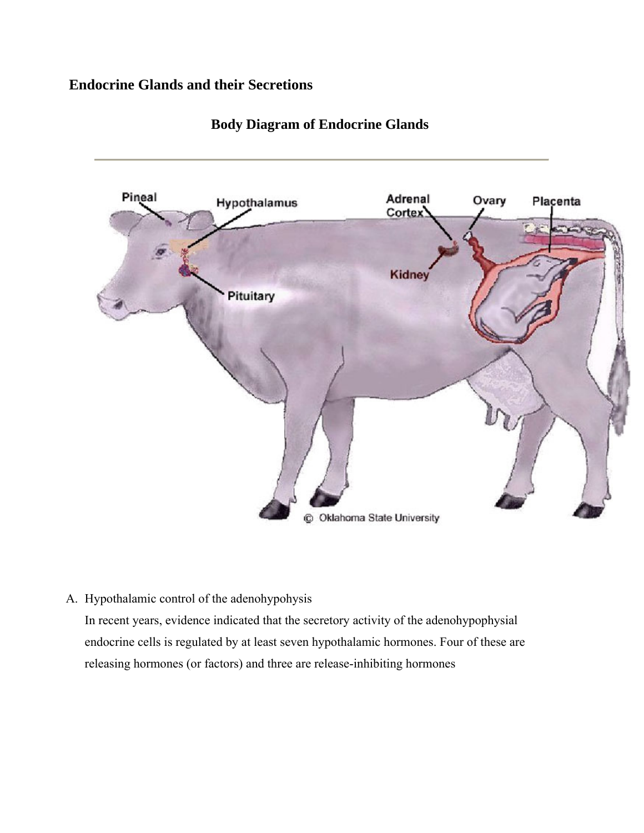### **Endocrine Glands and their Secretions**



### **Body Diagram of Endocrine Glands**

A. Hypothalamic control of the adenohypohysis

In recent years, evidence indicated that the secretory activity of the adenohypophysial endocrine cells is regulated by at least seven hypothalamic hormones. Four of these are releasing hormones (or factors) and three are release-inhibiting hormones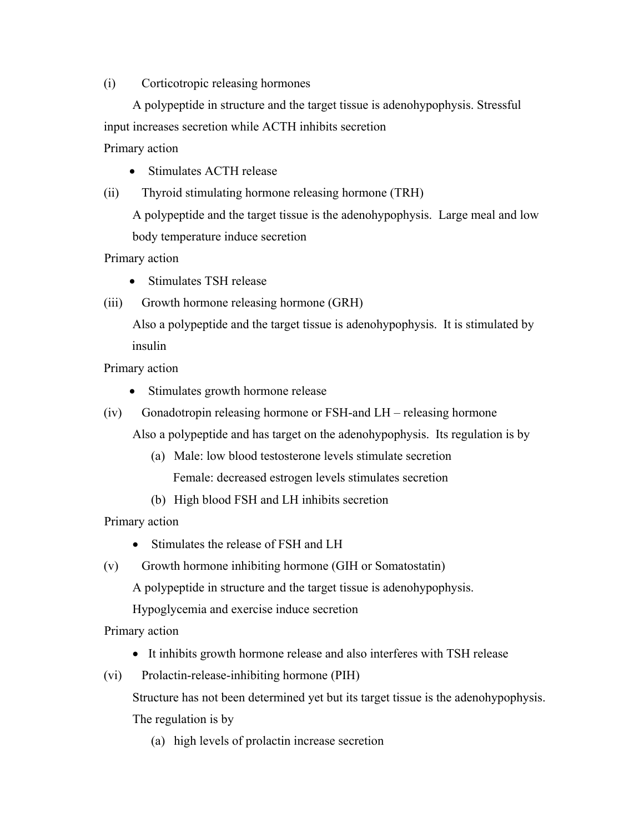#### (i) Corticotropic releasing hormones

 A polypeptide in structure and the target tissue is adenohypophysis. Stressful input increases secretion while ACTH inhibits secretion Primary action

- Stimulates ACTH release
- (ii) Thyroid stimulating hormone releasing hormone (TRH)

A polypeptide and the target tissue is the adenohypophysis. Large meal and low body temperature induce secretion

Primary action

- Stimulates TSH release
- (iii) Growth hormone releasing hormone (GRH)

 Also a polypeptide and the target tissue is adenohypophysis. It is stimulated by insulin

Primary action

- Stimulates growth hormone release
- (iv) Gonadotropin releasing hormone or FSH-and LH releasing hormone
	- Also a polypeptide and has target on the adenohypophysis. Its regulation is by
		- (a) Male: low blood testosterone levels stimulate secretion Female: decreased estrogen levels stimulates secretion
		- (b) High blood FSH and LH inhibits secretion

Primary action

- Stimulates the release of FSH and LH
- (v) Growth hormone inhibiting hormone (GIH or Somatostatin)

A polypeptide in structure and the target tissue is adenohypophysis.

Hypoglycemia and exercise induce secretion

Primary action

- It inhibits growth hormone release and also interferes with TSH release
- (vi) Prolactin-release-inhibiting hormone (PIH)

Structure has not been determined yet but its target tissue is the adenohypophysis.

The regulation is by

(a) high levels of prolactin increase secretion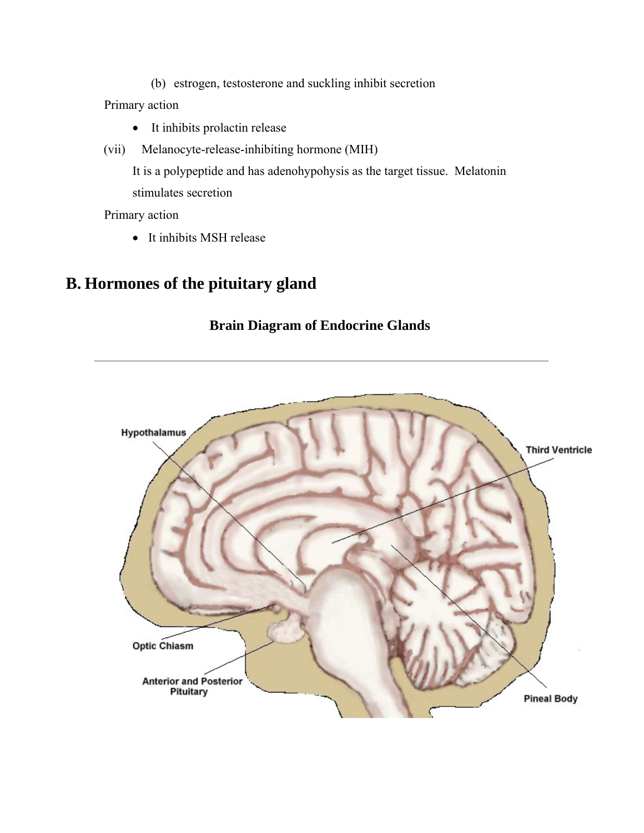(b) estrogen, testosterone and suckling inhibit secretion

Primary action

- It inhibits prolactin release
- (vii) Melanocyte-release-inhibiting hormone (MIH)

It is a polypeptide and has adenohypohysis as the target tissue. Melatonin stimulates secretion

Primary action

• It inhibits MSH release

# **B. Hormones of the pituitary gland**

### **Brain Diagram of Endocrine Glands**

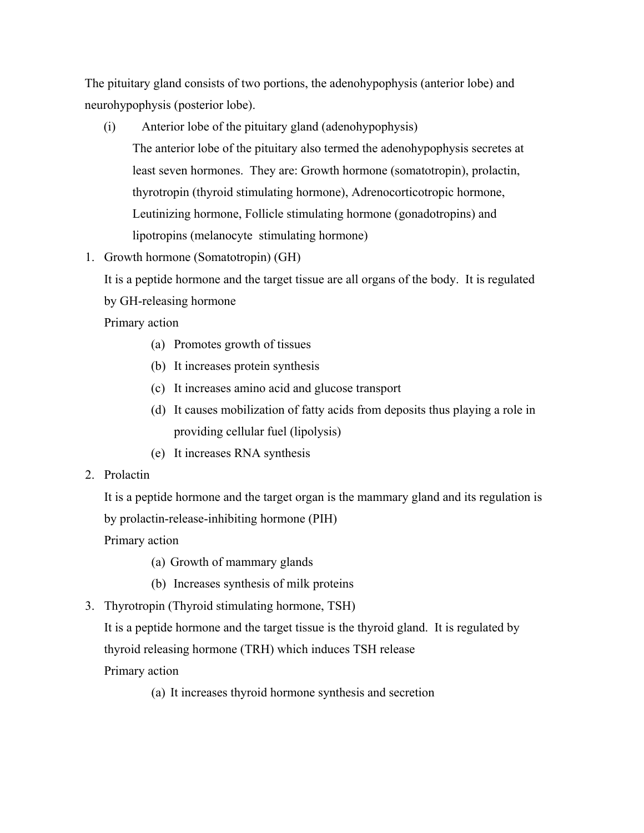The pituitary gland consists of two portions, the adenohypophysis (anterior lobe) and neurohypophysis (posterior lobe).

- (i) Anterior lobe of the pituitary gland (adenohypophysis) The anterior lobe of the pituitary also termed the adenohypophysis secretes at least seven hormones. They are: Growth hormone (somatotropin), prolactin, thyrotropin (thyroid stimulating hormone), Adrenocorticotropic hormone, Leutinizing hormone, Follicle stimulating hormone (gonadotropins) and lipotropins (melanocyte stimulating hormone)
- 1. Growth hormone (Somatotropin) (GH)

It is a peptide hormone and the target tissue are all organs of the body. It is regulated by GH-releasing hormone

Primary action

- (a) Promotes growth of tissues
- (b) It increases protein synthesis
- (c) It increases amino acid and glucose transport
- (d) It causes mobilization of fatty acids from deposits thus playing a role in providing cellular fuel (lipolysis)
- (e) It increases RNA synthesis
- 2. Prolactin

It is a peptide hormone and the target organ is the mammary gland and its regulation is by prolactin-release-inhibiting hormone (PIH)

Primary action

- (a) Growth of mammary glands
- (b) Increases synthesis of milk proteins
- 3. Thyrotropin (Thyroid stimulating hormone, TSH)

It is a peptide hormone and the target tissue is the thyroid gland. It is regulated by thyroid releasing hormone (TRH) which induces TSH release

Primary action

(a) It increases thyroid hormone synthesis and secretion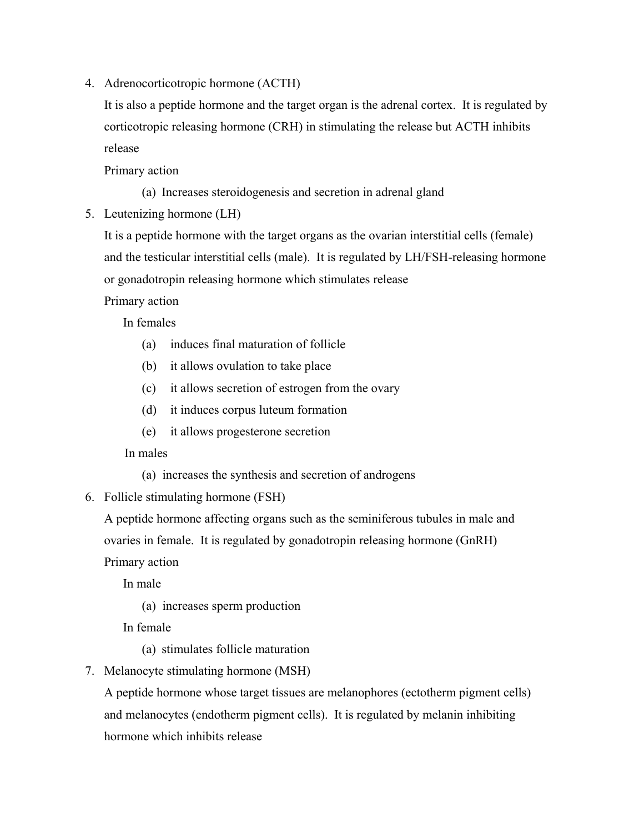4. Adrenocorticotropic hormone (ACTH)

It is also a peptide hormone and the target organ is the adrenal cortex. It is regulated by corticotropic releasing hormone (CRH) in stimulating the release but ACTH inhibits release

Primary action

- (a) Increases steroidogenesis and secretion in adrenal gland
- 5. Leutenizing hormone (LH)

It is a peptide hormone with the target organs as the ovarian interstitial cells (female) and the testicular interstitial cells (male). It is regulated by LH/FSH-releasing hormone or gonadotropin releasing hormone which stimulates release

Primary action

In females

- (a) induces final maturation of follicle
- (b) it allows ovulation to take place
- (c) it allows secretion of estrogen from the ovary
- (d) it induces corpus luteum formation
- (e) it allows progesterone secretion

In males

- (a) increases the synthesis and secretion of androgens
- 6. Follicle stimulating hormone (FSH)

A peptide hormone affecting organs such as the seminiferous tubules in male and ovaries in female. It is regulated by gonadotropin releasing hormone (GnRH)

Primary action

In male

(a) increases sperm production

In female

- (a) stimulates follicle maturation
- 7. Melanocyte stimulating hormone (MSH)

A peptide hormone whose target tissues are melanophores (ectotherm pigment cells) and melanocytes (endotherm pigment cells). It is regulated by melanin inhibiting hormone which inhibits release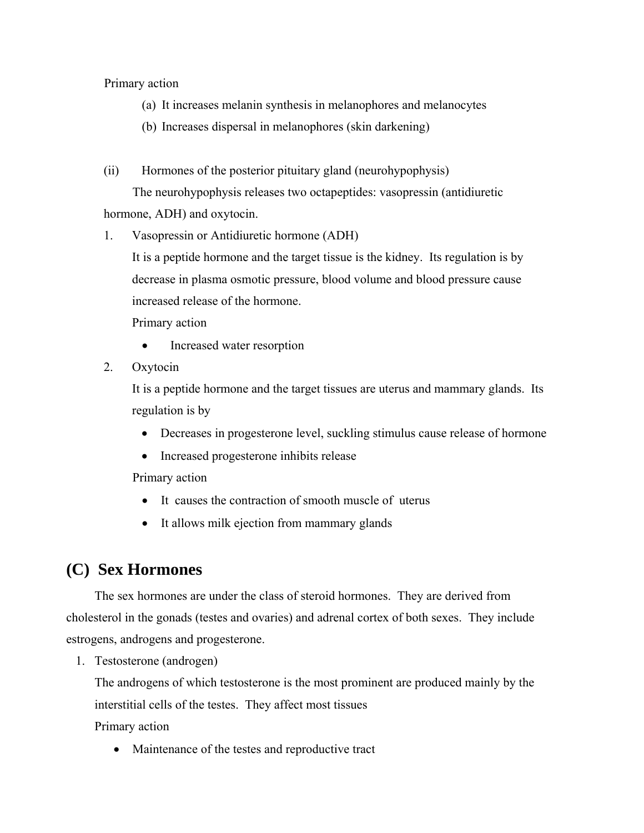#### Primary action

- (a) It increases melanin synthesis in melanophores and melanocytes
- (b) Increases dispersal in melanophores (skin darkening)
- (ii) Hormones of the posterior pituitary gland (neurohypophysis)

 The neurohypophysis releases two octapeptides: vasopressin (antidiuretic hormone, ADH) and oxytocin.

1. Vasopressin or Antidiuretic hormone (ADH)

It is a peptide hormone and the target tissue is the kidney. Its regulation is by decrease in plasma osmotic pressure, blood volume and blood pressure cause increased release of the hormone.

Primary action

- Increased water resorption
- 2. Oxytocin

It is a peptide hormone and the target tissues are uterus and mammary glands. Its regulation is by

- Decreases in progesterone level, suckling stimulus cause release of hormone
- Increased progesterone inhibits release

Primary action

- It causes the contraction of smooth muscle of uterus
- It allows milk ejection from mammary glands

# **(C) Sex Hormones**

The sex hormones are under the class of steroid hormones. They are derived from cholesterol in the gonads (testes and ovaries) and adrenal cortex of both sexes. They include estrogens, androgens and progesterone.

1. Testosterone (androgen)

The androgens of which testosterone is the most prominent are produced mainly by the interstitial cells of the testes. They affect most tissues Primary action

• Maintenance of the testes and reproductive tract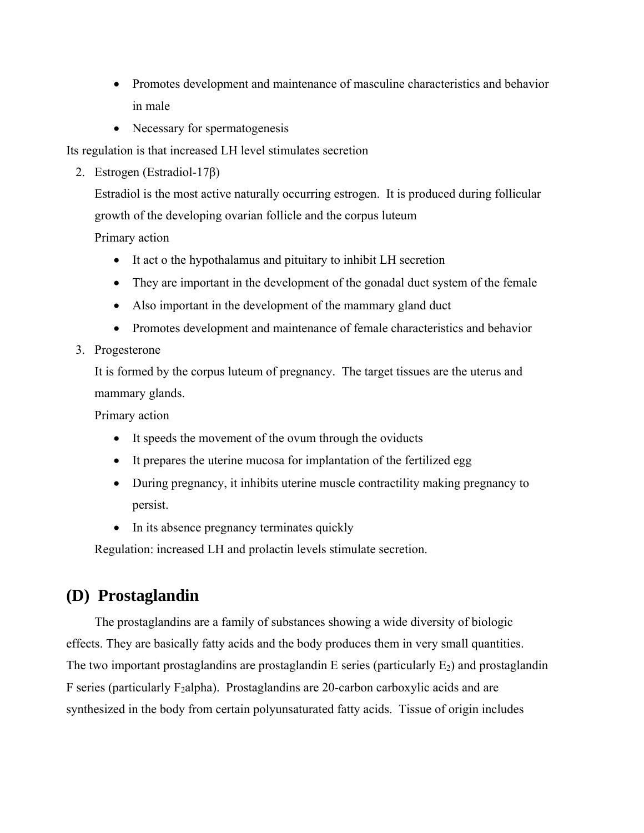- Promotes development and maintenance of masculine characteristics and behavior in male
- Necessary for spermatogenesis

Its regulation is that increased LH level stimulates secretion

2. Estrogen (Estradiol-17β)

Estradiol is the most active naturally occurring estrogen. It is produced during follicular growth of the developing ovarian follicle and the corpus luteum

Primary action

- It act o the hypothalamus and pituitary to inhibit LH secretion
- They are important in the development of the gonadal duct system of the female
- Also important in the development of the mammary gland duct
- Promotes development and maintenance of female characteristics and behavior
- 3. Progesterone

It is formed by the corpus luteum of pregnancy. The target tissues are the uterus and mammary glands.

Primary action

- It speeds the movement of the ovum through the oviducts
- It prepares the uterine mucosa for implantation of the fertilized egg
- During pregnancy, it inhibits uterine muscle contractility making pregnancy to persist.
- In its absence pregnancy terminates quickly

Regulation: increased LH and prolactin levels stimulate secretion.

# **(D) Prostaglandin**

The prostaglandins are a family of substances showing a wide diversity of biologic effects. They are basically fatty acids and the body produces them in very small quantities. The two important prostaglandins are prostaglandin E series (particularly  $E_2$ ) and prostaglandin F series (particularly  $F_2$ alpha). Prostaglandins are 20-carbon carboxylic acids and are synthesized in the body from certain polyunsaturated fatty acids. Tissue of origin includes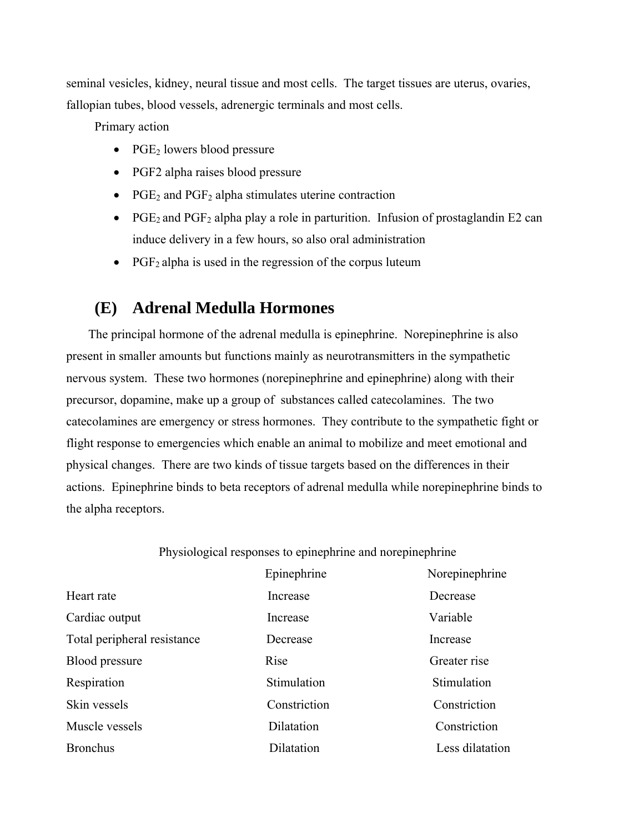seminal vesicles, kidney, neural tissue and most cells. The target tissues are uterus, ovaries, fallopian tubes, blood vessels, adrenergic terminals and most cells.

Primary action

- PGE<sub>2</sub> lowers blood pressure
- PGF2 alpha raises blood pressure
- PGE<sub>2</sub> and PGF<sub>2</sub> alpha stimulates uterine contraction
- PGE<sub>2</sub> and PGF<sub>2</sub> alpha play a role in parturition. Infusion of prostaglandin E2 can induce delivery in a few hours, so also oral administration
- PGF<sub>2</sub> alpha is used in the regression of the corpus luteum

### **(E) Adrenal Medulla Hormones**

The principal hormone of the adrenal medulla is epinephrine. Norepinephrine is also present in smaller amounts but functions mainly as neurotransmitters in the sympathetic nervous system. These two hormones (norepinephrine and epinephrine) along with their precursor, dopamine, make up a group of substances called catecolamines. The two catecolamines are emergency or stress hormones. They contribute to the sympathetic fight or flight response to emergencies which enable an animal to mobilize and meet emotional and physical changes. There are two kinds of tissue targets based on the differences in their actions. Epinephrine binds to beta receptors of adrenal medulla while norepinephrine binds to the alpha receptors.

#### Physiological responses to epinephrine and norepinephrine

|                             | Epinephrine  | Norepinephrine  |
|-----------------------------|--------------|-----------------|
| Heart rate                  | Increase     | Decrease        |
| Cardiac output              | Increase     | Variable        |
| Total peripheral resistance | Decrease     | Increase        |
| <b>Blood pressure</b>       | Rise         | Greater rise    |
| Respiration                 | Stimulation  | Stimulation     |
| Skin vessels                | Constriction | Constriction    |
| Muscle vessels              | Dilatation   | Constriction    |
| <b>Bronchus</b>             | Dilatation   | Less dilatation |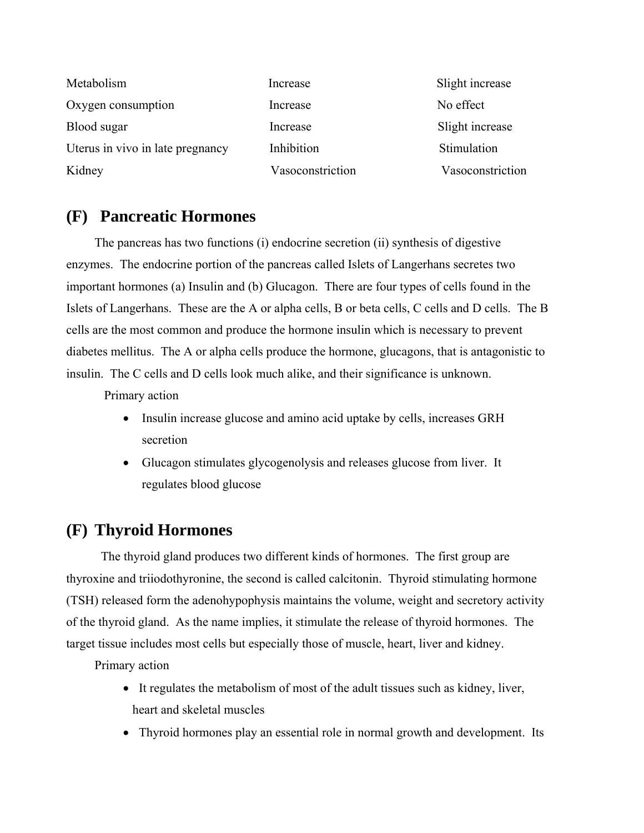| Metabolism                       | Increase         | Slight increase  |
|----------------------------------|------------------|------------------|
| Oxygen consumption               | Increase         | No effect        |
| Blood sugar                      | Increase         | Slight increase  |
| Uterus in vivo in late pregnancy | Inhibition       | Stimulation      |
| Kidney                           | Vasoconstriction | Vasoconstriction |

## **(F) Pancreatic Hormones**

 The pancreas has two functions (i) endocrine secretion (ii) synthesis of digestive enzymes. The endocrine portion of the pancreas called Islets of Langerhans secretes two important hormones (a) Insulin and (b) Glucagon. There are four types of cells found in the Islets of Langerhans. These are the A or alpha cells, B or beta cells, C cells and D cells. The B cells are the most common and produce the hormone insulin which is necessary to prevent diabetes mellitus. The A or alpha cells produce the hormone, glucagons, that is antagonistic to insulin. The C cells and D cells look much alike, and their significance is unknown.

Primary action

- Insulin increase glucose and amino acid uptake by cells, increases GRH secretion
- Glucagon stimulates glycogenolysis and releases glucose from liver. It regulates blood glucose

## **(F) Thyroid Hormones**

 The thyroid gland produces two different kinds of hormones. The first group are thyroxine and triiodothyronine, the second is called calcitonin. Thyroid stimulating hormone (TSH) released form the adenohypophysis maintains the volume, weight and secretory activity of the thyroid gland. As the name implies, it stimulate the release of thyroid hormones. The target tissue includes most cells but especially those of muscle, heart, liver and kidney.

Primary action

- It regulates the metabolism of most of the adult tissues such as kidney, liver, heart and skeletal muscles
- Thyroid hormones play an essential role in normal growth and development. Its